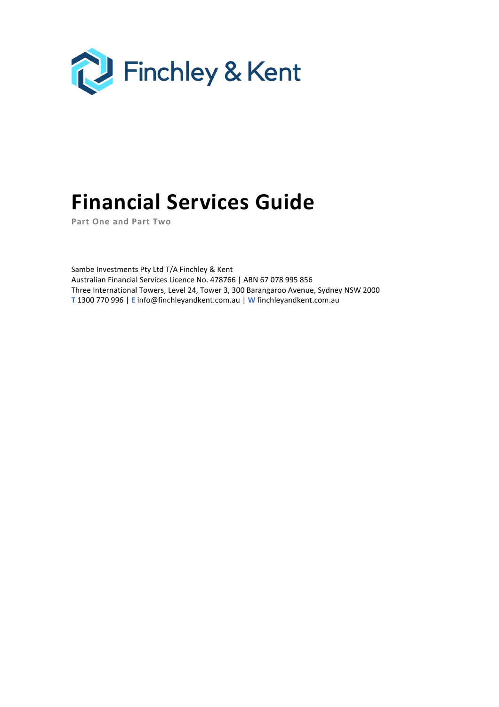

# **Financial Services Guide**

**Part One and Part Two**

Sambe Investments Pty Ltd T/A Finchley & Kent Australian Financial Services Licence No. 478766 | ABN 67 078 995 856 Three International Towers, Level 24, Tower 3, 300 Barangaroo Avenue, Sydney NSW 2000 **T** 1300 770 996 | **E** info@finchleyandkent.com.au | **W** finchleyandkent.com.au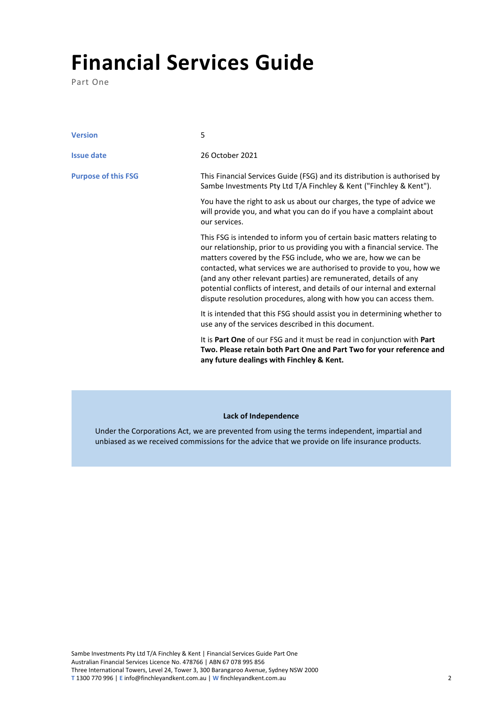## **Financial Services Guide**

Part One

| <b>Version</b>             | 5                                                                                                                                                                                                                                                                                                                                                                                                                                                                                                                    |
|----------------------------|----------------------------------------------------------------------------------------------------------------------------------------------------------------------------------------------------------------------------------------------------------------------------------------------------------------------------------------------------------------------------------------------------------------------------------------------------------------------------------------------------------------------|
| <b>Issue date</b>          | 26 October 2021                                                                                                                                                                                                                                                                                                                                                                                                                                                                                                      |
| <b>Purpose of this FSG</b> | This Financial Services Guide (FSG) and its distribution is authorised by<br>Sambe Investments Pty Ltd T/A Finchley & Kent ("Finchley & Kent").                                                                                                                                                                                                                                                                                                                                                                      |
|                            | You have the right to ask us about our charges, the type of advice we<br>will provide you, and what you can do if you have a complaint about<br>our services.                                                                                                                                                                                                                                                                                                                                                        |
|                            | This FSG is intended to inform you of certain basic matters relating to<br>our relationship, prior to us providing you with a financial service. The<br>matters covered by the FSG include, who we are, how we can be<br>contacted, what services we are authorised to provide to you, how we<br>(and any other relevant parties) are remunerated, details of any<br>potential conflicts of interest, and details of our internal and external<br>dispute resolution procedures, along with how you can access them. |
|                            | It is intended that this FSG should assist you in determining whether to<br>use any of the services described in this document.                                                                                                                                                                                                                                                                                                                                                                                      |
|                            | It is Part One of our FSG and it must be read in conjunction with Part<br>Two. Please retain both Part One and Part Two for your reference and<br>any future dealings with Finchley & Kent.                                                                                                                                                                                                                                                                                                                          |

## **Lack of Independence**

Under the Corporations Act, we are prevented from using the terms independent, impartial and unbiased as we received commissions for the advice that we provide on life insurance products.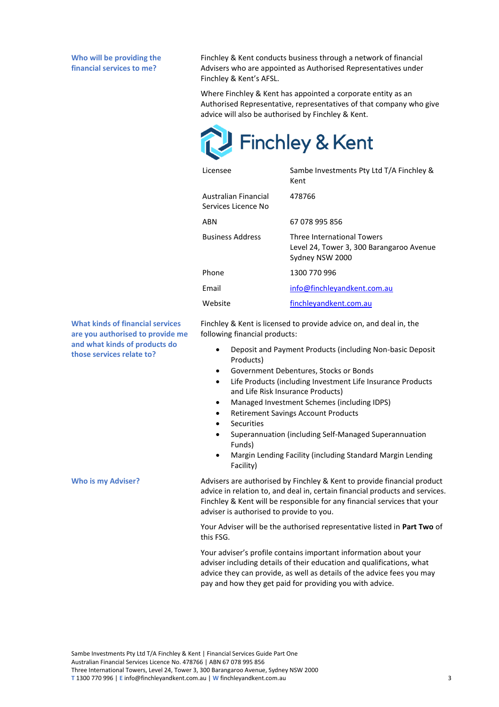**Who will be providing the financial services to me?**

Finchley & Kent conducts business through a network of financial Advisers who are appointed as Authorised Representatives under Finchley & Kent's AFSL.

Where Finchley & Kent has appointed a corporate entity as an Authorised Representative, representatives of that company who give advice will also be authorised by Finchley & Kent.



| Licensee                                    | Sambe Investments Pty Ltd T/A Finchley &<br>Kent                                          |
|---------------------------------------------|-------------------------------------------------------------------------------------------|
| Australian Financial<br>Services Licence No | 478766                                                                                    |
| ABN                                         | 67 078 995 856                                                                            |
| <b>Business Address</b>                     | Three International Towers<br>Level 24, Tower 3, 300 Barangaroo Avenue<br>Sydney NSW 2000 |
| Phone                                       | 1300 770 996                                                                              |
| Fmail                                       | info@finchleyandkent.com.au                                                               |
| Website                                     | finchleyandkent.com.au                                                                    |

**What kinds of financial services are you authorised to provide me and what kinds of products do those services relate to?**

Finchley & Kent is licensed to provide advice on, and deal in, the following financial products:

- Deposit and Payment Products (including Non-basic Deposit Products)
- Government Debentures, Stocks or Bonds
- Life Products (including Investment Life Insurance Products and Life Risk Insurance Products)
- Managed Investment Schemes (including IDPS)
- Retirement Savings Account Products
- **Securities**
- Superannuation (including Self-Managed Superannuation Funds)
- Margin Lending Facility (including Standard Margin Lending Facility)

Who is my Adviser? Advisers are authorised by Finchley & Kent to provide financial product advice in relation to, and deal in, certain financial products and services. Finchley & Kent will be responsible for any financial services that your adviser is authorised to provide to you.

> Your Adviser will be the authorised representative listed in **Part Two** of this FSG.

Your adviser's profile contains important information about your adviser including details of their education and qualifications, what advice they can provide, as well as details of the advice fees you may pay and how they get paid for providing you with advice.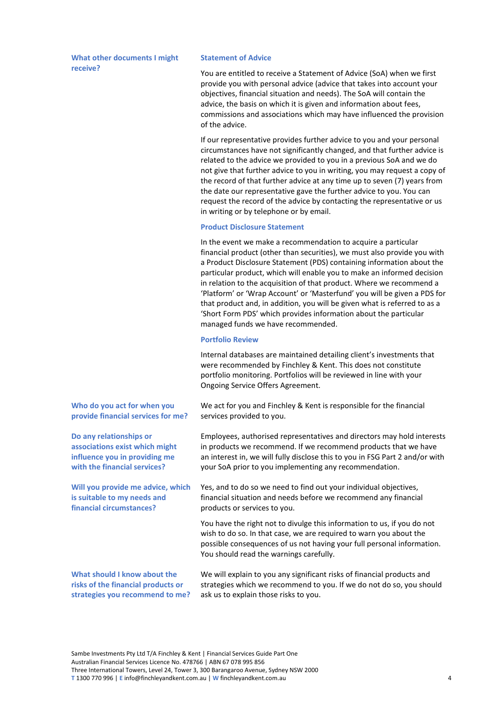**What other documents I might receive?**

#### **Statement of Advice**

You are entitled to receive a Statement of Advice (SoA) when we first provide you with personal advice (advice that takes into account your objectives, financial situation and needs). The SoA will contain the advice, the basis on which it is given and information about fees, commissions and associations which may have influenced the provision of the advice.

If our representative provides further advice to you and your personal circumstances have not significantly changed, and that further advice is related to the advice we provided to you in a previous SoA and we do not give that further advice to you in writing, you may request a copy of the record of that further advice at any time up to seven (7) years from the date our representative gave the further advice to you. You can request the record of the advice by contacting the representative or us in writing or by telephone or by email.

### **Product Disclosure Statement**

In the event we make a recommendation to acquire a particular financial product (other than securities), we must also provide you with a Product Disclosure Statement (PDS) containing information about the particular product, which will enable you to make an informed decision in relation to the acquisition of that product. Where we recommend a 'Platform' or 'Wrap Account' or 'Masterfund' you will be given a PDS for that product and, in addition, you will be given what is referred to as a 'Short Form PDS' which provides information about the particular managed funds we have recommended.

#### **Portfolio Review**

Internal databases are maintained detailing client's investments that were recommended by Finchley & Kent. This does not constitute portfolio monitoring. Portfolios will be reviewed in line with your Ongoing Service Offers Agreement.

**Who do you act for when you provide financial services for me?**

**Do any relationships or associations exist which might influence you in providing me with the financial services?**

**Will you provide me advice, which is suitable to my needs and financial circumstances?**

We act for you and Finchley & Kent is responsible for the financial services provided to you.

Employees, authorised representatives and directors may hold interests in products we recommend. If we recommend products that we have an interest in, we will fully disclose this to you in FSG Part 2 and/or with your SoA prior to you implementing any recommendation.

Yes, and to do so we need to find out your individual objectives, financial situation and needs before we recommend any financial products or services to you.

You have the right not to divulge this information to us, if you do not wish to do so. In that case, we are required to warn you about the possible consequences of us not having your full personal information. You should read the warnings carefully.

**What should I know about the risks of the financial products or strategies you recommend to me?**

We will explain to you any significant risks of financial products and strategies which we recommend to you. If we do not do so, you should ask us to explain those risks to you.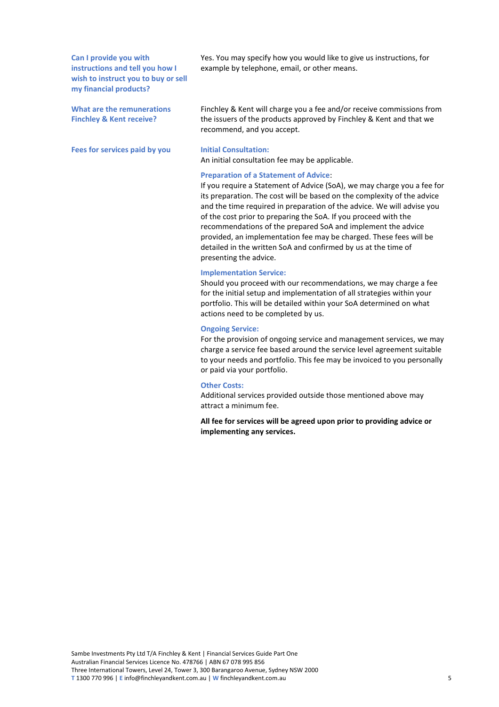**Can I provide you with instructions and tell you how I wish to instruct you to buy or sell my financial products?**

**What are the remunerations Finchley & Kent receive?**

**Fees for services paid by you Initial Consultation:**

Yes. You may specify how you would like to give us instructions, for example by telephone, email, or other means.

Finchley & Kent will charge you a fee and/or receive commissions from the issuers of the products approved by Finchley & Kent and that we recommend, and you accept.

An initial consultation fee may be applicable.

#### **Preparation of a Statement of Advice**:

If you require a Statement of Advice (SoA), we may charge you a fee for its preparation. The cost will be based on the complexity of the advice and the time required in preparation of the advice. We will advise you of the cost prior to preparing the SoA. If you proceed with the recommendations of the prepared SoA and implement the advice provided, an implementation fee may be charged. These fees will be detailed in the written SoA and confirmed by us at the time of presenting the advice.

#### **Implementation Service:**

Should you proceed with our recommendations, we may charge a fee for the initial setup and implementation of all strategies within your portfolio. This will be detailed within your SoA determined on what actions need to be completed by us.

#### **Ongoing Service:**

For the provision of ongoing service and management services, we may charge a service fee based around the service level agreement suitable to your needs and portfolio. This fee may be invoiced to you personally or paid via your portfolio.

#### **Other Costs:**

Additional services provided outside those mentioned above may attract a minimum fee.

**All fee for services will be agreed upon prior to providing advice or implementing any services.**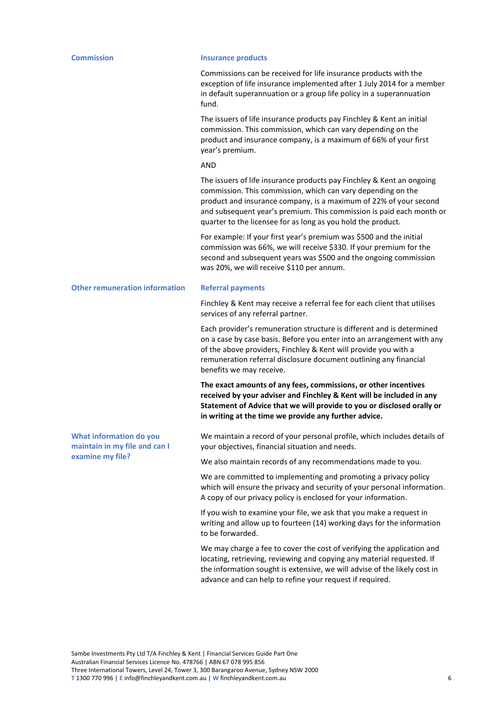#### **Commission Insurance products**

Commissions can be received for life insurance products with the exception of life insurance implemented after 1 July 2014 for a member in default superannuation or a group life policy in a superannuation fund.

The issuers of life insurance products pay Finchley & Kent an initial commission. This commission, which can vary depending on the product and insurance company, is a maximum of 66% of your first year's premium.

AND

The issuers of life insurance products pay Finchley & Kent an ongoing commission. This commission, which can vary depending on the product and insurance company, is a maximum of 22% of your second and subsequent year's premium. This commission is paid each month or quarter to the licensee for as long as you hold the product.

For example: If your first year's premium was \$500 and the initial commission was 66%, we will receive \$330. If your premium for the second and subsequent years was \$500 and the ongoing commission was 20%, we will receive \$110 per annum.

**Other remuneration information Referral payments**

Finchley & Kent may receive a referral fee for each client that utilises services of any referral partner.

Each provider's remuneration structure is different and is determined on a case by case basis. Before you enter into an arrangement with any of the above providers, Finchley & Kent will provide you with a remuneration referral disclosure document outlining any financial benefits we may receive.

**The exact amounts of any fees, commissions, or other incentives received by your adviser and Finchley & Kent will be included in any Statement of Advice that we will provide to you or disclosed orally or in writing at the time we provide any further advice.**

**What information do you maintain in my file and can I examine my file?**

We maintain a record of your personal profile, which includes details of your objectives, financial situation and needs.

We also maintain records of any recommendations made to you.

We are committed to implementing and promoting a privacy policy which will ensure the privacy and security of your personal information. A copy of our privacy policy is enclosed for your information.

If you wish to examine your file, we ask that you make a request in writing and allow up to fourteen (14) working days for the information to be forwarded.

We may charge a fee to cover the cost of verifying the application and locating, retrieving, reviewing and copying any material requested. If the information sought is extensive, we will advise of the likely cost in advance and can help to refine your request if required.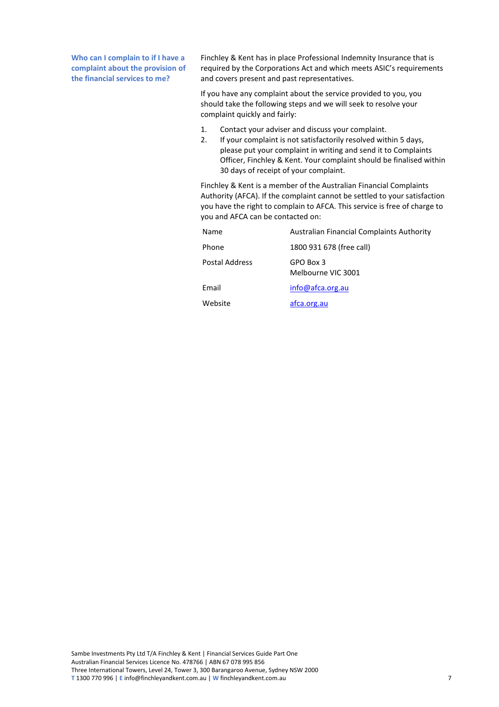**Who can I complain to if I have a complaint about the provision of the financial services to me?**

Finchley & Kent has in place Professional Indemnity Insurance that is required by the Corporations Act and which meets ASIC's requirements and covers present and past representatives.

If you have any complaint about the service provided to you, you should take the following steps and we will seek to resolve your complaint quickly and fairly:

- 1. Contact your adviser and discuss your complaint.
- 2. If your complaint is not satisfactorily resolved within 5 days, please put your complaint in writing and send it to Complaints Officer, Finchley & Kent. Your complaint should be finalised within 30 days of receipt of your complaint.

Finchley & Kent is a member of the Australian Financial Complaints Authority (AFCA). If the complaint cannot be settled to your satisfaction you have the right to complain to AFCA. This service is free of charge to you and AFCA can be contacted on:

| Name           | <b>Australian Financial Complaints Authority</b> |
|----------------|--------------------------------------------------|
| Phone          | 1800 931 678 (free call)                         |
| Postal Address | GPO Box 3<br>Melbourne VIC 3001                  |
| Email          | info@afca.org.au                                 |
| Website        | afca.org.au                                      |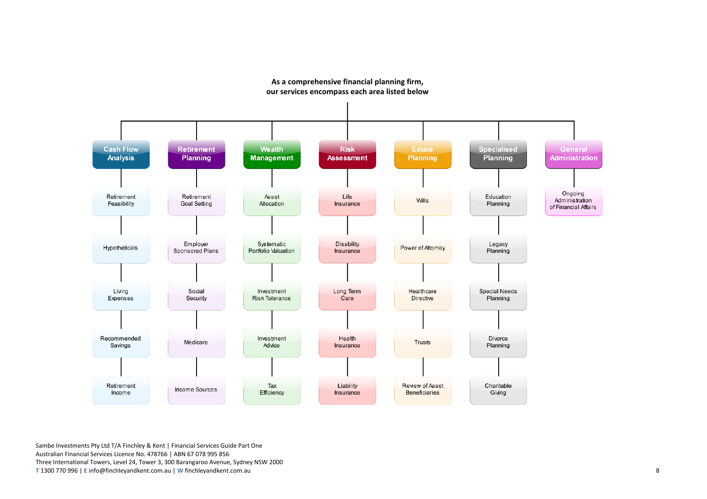

## **As a comprehensive financial planning firm, our services encompass each area listed below**

Sambe Investments Pty Ltd T/A Finchley & Kent | Financial Services Guide Part One Australian Financial Services Licence No. 478766 | ABN 67 078 995 856 Three International Towers, Level 24, Tower 3, 300 Barangaroo Avenue, Sydney NSW 2000 **T** 1300 770 996 | **E** info@finchleyandkent.com.au | **W** finchleyandkent.com.au 8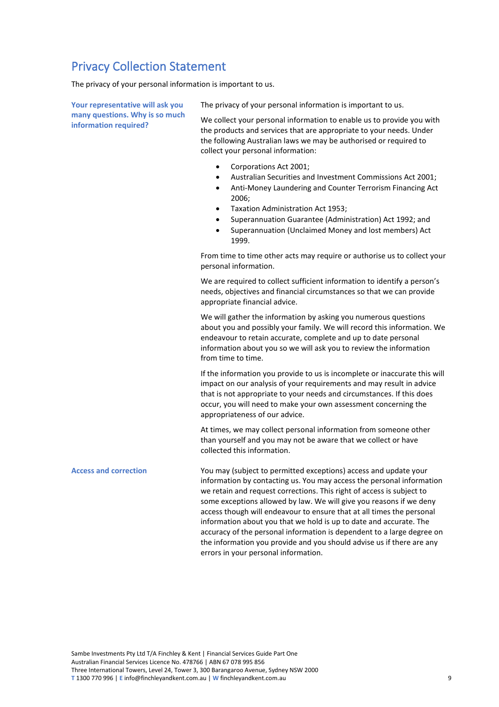## Privacy Collection Statement

The privacy of your personal information is important to us.

**Your representative will ask you many questions. Why is so much information required?**

The privacy of your personal information is important to us.

We collect your personal information to enable us to provide you with the products and services that are appropriate to your needs. Under the following Australian laws we may be authorised or required to collect your personal information:

- Corporations Act 2001;
- Australian Securities and Investment Commissions Act 2001;
- Anti-Money Laundering and Counter Terrorism Financing Act 2006;
- Taxation Administration Act 1953;
- Superannuation Guarantee (Administration) Act 1992; and
- Superannuation (Unclaimed Money and lost members) Act 1999.

From time to time other acts may require or authorise us to collect your personal information.

We are required to collect sufficient information to identify a person's needs, objectives and financial circumstances so that we can provide appropriate financial advice.

We will gather the information by asking you numerous questions about you and possibly your family. We will record this information. We endeavour to retain accurate, complete and up to date personal information about you so we will ask you to review the information from time to time.

If the information you provide to us is incomplete or inaccurate this will impact on our analysis of your requirements and may result in advice that is not appropriate to your needs and circumstances. If this does occur, you will need to make your own assessment concerning the appropriateness of our advice.

At times, we may collect personal information from someone other than yourself and you may not be aware that we collect or have collected this information.

**Access and correction** You may (subject to permitted exceptions) access and update your information by contacting us. You may access the personal information we retain and request corrections. This right of access is subject to some exceptions allowed by law. We will give you reasons if we deny access though will endeavour to ensure that at all times the personal information about you that we hold is up to date and accurate. The accuracy of the personal information is dependent to a large degree on the information you provide and you should advise us if there are any errors in your personal information.